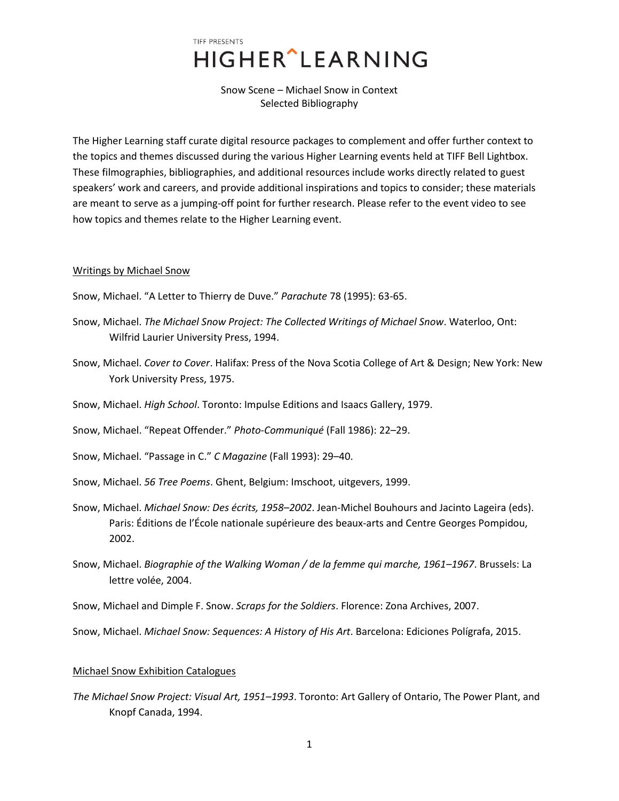Snow Scene – Michael Snow in Context Selected Bibliography

The Higher Learning staff curate digital resource packages to complement and offer further context to the topics and themes discussed during the various Higher Learning events held at TIFF Bell Lightbox. These filmographies, bibliographies, and additional resources include works directly related to guest speakers' work and careers, and provide additional inspirations and topics to consider; these materials are meant to serve as a jumping-off point for further research. Please refer to the event video to see how topics and themes relate to the Higher Learning event.

### Writings by Michael Snow

- Snow, Michael. "A Letter to Thierry de Duve." *Parachute* 78 (1995): 63-65.
- Snow, Michael. *The Michael Snow Project: The Collected Writings of Michael Snow*. Waterloo, Ont: Wilfrid Laurier University Press, 1994.
- Snow, Michael. *Cover to Cover*. Halifax: Press of the Nova Scotia College of Art & Design; New York: New York University Press, 1975.
- Snow, Michael. *High School*. Toronto: Impulse Editions and Isaacs Gallery, 1979.
- Snow, Michael. "Repeat Offender." *Photo-Communiqué* (Fall 1986): 22–29.
- Snow, Michael. "Passage in C." *C Magazine* (Fall 1993): 29–40.
- Snow, Michael. *56 Tree Poems*. Ghent, Belgium: Imschoot, uitgevers, 1999.
- Snow, Michael. *Michael Snow: Des écrits, 1958–2002*. Jean-Michel Bouhours and Jacinto Lageira (eds). Paris: Éditions de l'École nationale supérieure des beaux-arts and Centre Georges Pompidou, 2002.
- Snow, Michael. *Biographie of the Walking Woman / de la femme qui marche, 1961–1967*. Brussels: La lettre volée, 2004.
- Snow, Michael and Dimple F. Snow. *Scraps for the Soldiers*. Florence: Zona Archives, 2007.

Snow, Michael. *Michael Snow: Sequences: A History of His Art*. Barcelona: Ediciones Polígrafa, 2015.

## Michael Snow Exhibition Catalogues

*The Michael Snow Project: Visual Art, 1951–1993*. Toronto: Art Gallery of Ontario, The Power Plant, and Knopf Canada, 1994.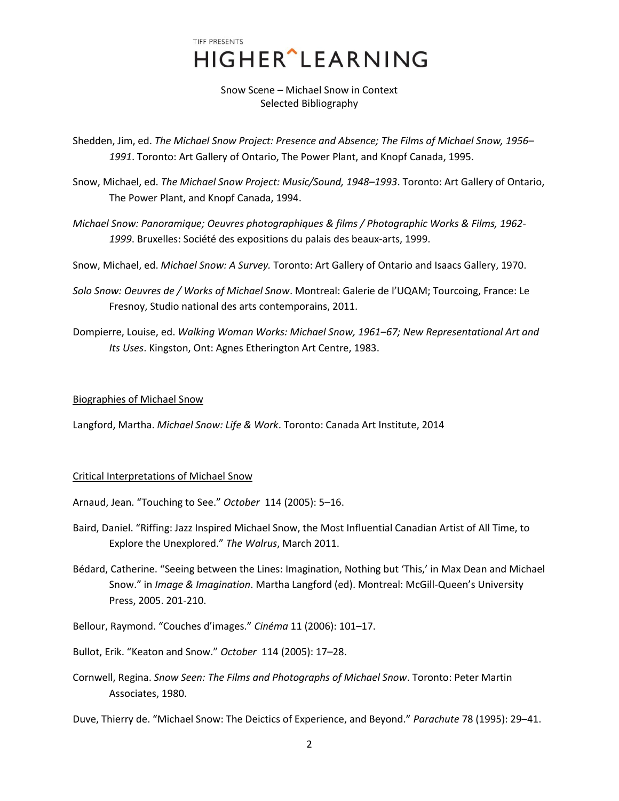Snow Scene – Michael Snow in Context Selected Bibliography

Shedden, Jim, ed. *The Michael Snow Project: Presence and Absence; The Films of Michael Snow, 1956– 1991*. Toronto: Art Gallery of Ontario, The Power Plant, and Knopf Canada, 1995.

- Snow, Michael, ed. *The Michael Snow Project: Music/Sound, 1948–1993*. Toronto: Art Gallery of Ontario, The Power Plant, and Knopf Canada, 1994.
- *Michael Snow: Panoramique; Oeuvres photographiques & films / Photographic Works & Films, 1962-* 1999. Bruxelles: Société des expositions du palais des beaux-arts, 1999.

Snow, Michael, ed. *Michael Snow: A Survey.* Toronto: Art Gallery of Ontario and Isaacs Gallery, 1970.

- *Solo Snow: Oeuvres de / Works of Michael Snow*. Montreal: Galerie de l'UQAM; Tourcoing, France: Le Fresnoy, Studio national des arts contemporains, 2011.
- Dompierre, Louise, ed. *Walking Woman Works: Michael Snow, 1961–67; New Representational Art and Its Uses*. Kingston, Ont: Agnes Etherington Art Centre, 1983.

### Biographies of Michael Snow

Langford, Martha. *Michael Snow: Life & Work*. Toronto: Canada Art Institute, 2014

#### Critical Interpretations of Michael Snow

Arnaud, Jean. "Touching to See." *October* 114 (2005): 5–16.

- aird, Daniel. "Riffing: Jazz Inspired Michael Snow, the Most Influential Canadian Artist of All Time, to Explore the Unexplored." The Walrus, March 2011.
- Bédard, Catherine. "Seeing between the Lines: Imagination, Nothing but 'This,' in Max Dean and Michael Snow." in *Image & Imagination*. Martha Langford (ed). Montreal: McGill-Queen's University Press, 2005. 201-210.

ellour, Raymond. "Couches d'images." *Cinéma* 11 (2006): 101–17.

Bullot, Erik. "Keaton and Snow." October 114 (2005): 17-28.

Cornwell, Regina. *Snow Seen: The Films and Photographs of Michael Snow*. Toronto: Peter Martin Associates, 1980.

Duve, Thierry de. "Michael Snow: The Deictics of Experience, and Beyond." *Parachute* 78 (1995): 29–41.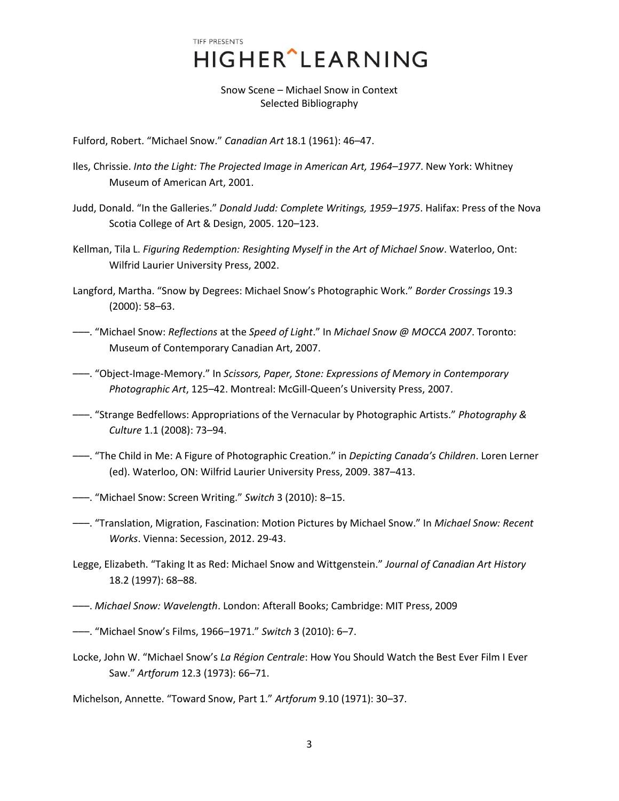> Snow Scene – Michael Snow in Context Selected Bibliography

Fulford, Robert. "Michael Snow." *Canadian Art* 18.1 (1961): 46–47.

- Iles, Chrissie. *Into the Light: The Projected Image in American Art, 1964–1977*. New York: Whitney Museum of American Art, 2001.
- Judd, Donald. "In the Galleries." *Donald Judd: Complete Writings, 1959–1975*. Halifax: Press of the Nova Scotia College of Art & Design, 2005. 120–123.
- Kellman, Tila L. *Figuring Redemption: Resighting Myself in the Art of Michael Snow*. Waterloo, Ont: Wilfrid Laurier University Press, 2002.

Langford, Martha. "Snow by Degrees: Michael Snow's Photographic Work." *Border Crossings* 19.3 (2000): 58–63.

- –––. "Michael Snow: *Reflections* at the *Speed of Light*." In *Michael Snow @ MOCCA 2007*. Toronto: Museum of Contemporary Canadian Art, 2007.
- –––. "Object-Image-Memory." In *Scissors, Paper, Stone: Expressions of Memory in Contemporary Photographic Art*, 125–42. Montreal: McGill-Queen's University Press, 2007.
- –––. "Strange edfellows: Appropriations of the Vernacular by Photographic Artists." *Photography & Culture* 1.1 (2008): 73–94.
- –––. "The Child in Me: A Figure of Photographic Creation." in *Depicting Canada's Children*. Loren Lerner (ed). Waterloo, ON: Wilfrid Laurier University Press, 2009. 387–413.
- –––. "Michael Snow: Screen Writing." *Switch* 3 (2010): 8–15.
- –––. "Translation, Migration, Fascination: Motion Pictures by Michael Snow." In *Michael Snow: Recent Works*. Vienna: Secession, 2012. 29-43.
- Legge, Elizabeth. "Taking It as Red: Michael Snow and Wittgenstein." Journal of Canadian Art History 18.2 (1997): 68–88.
- –––. *Michael Snow: Wavelength*. London: Afterall Books; Cambridge: MIT Press, 2009
- –––. "Michael Snow's Films, 1966–1971." *Switch* 3 (2010): 6–7.
- Locke, John W. "Michael Snow's *La Région Centrale*: How You Should Watch the Best Ever Film I Ever Saw." *Artforum* 12.3 (1973): 66–71.

Michelson, Annette. "Toward Snow, Part 1." *Artforum* 9.10 (1971): 30–37.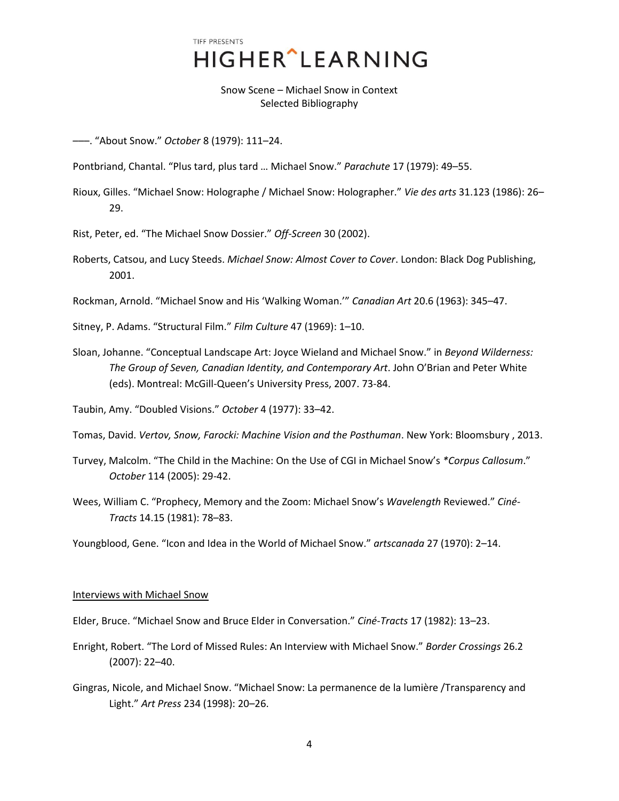> Snow Scene – Michael Snow in Context Selected Bibliography

–––. "About Snow." *October* 8 (1979): 111–24.

Pontbriand, Chantal. "Plus tard, plus tard … Michael Snow." *Parachute* 17 (1979): 49–55.

Rioux, Gilles. "Michael Snow: Holographe / Michael Snow: Holographer." *Vie des arts* 31.123 (1986): 26– 29.

Rist, Peter, ed. "The Michael Snow Dossier." *Off-Screen* 30 (2002).

Roberts, Catsou, and Lucy Steeds. *Michael Snow: Almost Cover to Cover*. London: Black Dog Publishing, 2001.

Rockman, Arnold. "Michael Snow and His 'Walking Woman.'" *Canadian Art* 20.6 (1963): 345–47.

Sitney, P. Adams. "Structural Film." *Film Culture* 47 (1969): 1–10.

Sloan, Johanne. "Conceptual Landscape Art: Joyce Wieland and Michael Snow." in *Beyond Wilderness:*  The Group of Seven, Canadian Identity, and Contemporary Art. John O'Brian and Peter White (eds). Montreal: McGill-Queen's University Press, 2007. 73-84.

Taubin, Amy. "Doubled Visions." *October* 4 (1977): 33–42.

Tomas, David. *Vertov, Snow, Farocki: Machine Vision and the Posthuman*. New York: Bloomsbury , 2013.

- Turvey, Malcolm. "The Child in the Machine: On the Use of CGI in Michael Snow's *\*Corpus Callosum*." *October* 114 (2005): 29-42.
- Wees, William C. "Prophecy, Memory and the Zoom: Michael Snow's *Wavelength* Reviewed." *Ciné-Tracts* 14.15 (1981): 78–83.

Youngblood, Gene. "Icon and Idea in the World of Michael Snow." *artscanada* 27 (1970): 2–14.

#### Interviews with Michael Snow

Elder, Bruce. "Michael Snow and Bruce Elder in Conversation." *Ciné-Tracts* 17 (1982): 13–23.

- nright, Robert. "The Lord of Missed Rules: An Interview with Michael Snow." *Border Crossings* 26.2 (2007): 22–40.
- Gingras, Nicole, and Michael Snow. "Michael Snow: La permanence de la lumière /Transparency and Light." *Art Press* 234 (1998): 20–26.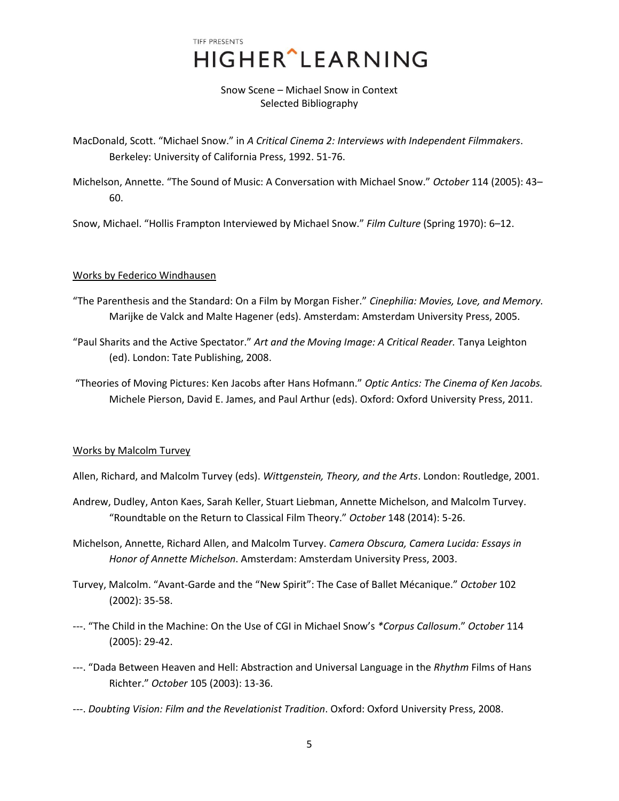Snow Scene – Michael Snow in Context Selected Bibliography

- MacDonald, Scott. "Michael Snow." in *A Critical Cinema 2: Interviews with Independent Filmmakers*. Berkeley: University of California Press, 1992. 51-76.
- Michelson, Annette. "The Sound of Music: A Conversation with Michael Snow." *October* 114 (2005): 43– 60.

Snow, Michael. "Hollis Frampton Interviewed by Michael Snow." *Film Culture* (Spring 1970): 6–12.

### Works by Federico Windhausen

- "The Parenthesis and the Standard: On a Film by Morgan Fisher." *Cinephilia: Movies, Love, and Memory.* Marijke de Valck and Malte Hagener (eds). Amsterdam: Amsterdam University Press, 2005.
- "Paul Sharits and the Active Spectator." *Art and the Moving Image: A Critical Reader.* Tanya Leighton (ed). London: Tate Publishing, 2008.

"Theories of Moving Pictures: Ken Jacobs after Hans Hofmann." *Optic Antics: The Cinema of Ken Jacobs.* Michele Pierson, David E. James, and Paul Arthur (eds). Oxford: Oxford University Press, 2011.

## Works by Malcolm Turvey

Allen, Richard, and Malcolm Turvey (eds). *Wittgenstein, Theory, and the Arts*. London: Routledge, 2001.

Andrew, Dudley, Anton Kaes, Sarah Keller, Stuart Liebman, Annette Michelson, and Malcolm Turvey. "Roundtable on the Return to Classical Film Theory." *October* 148 (2014): 5-26.

Michelson, Annette, Richard Allen, and Malcolm Turvey. *Camera Obscura, Camera Lucida: Essays in Honor of Annette Michelson*. Amsterdam: Amsterdam University Press, 2003.

- Turvey, Malcolm. "Avant-Garde and the "New Spirit": The Case of Ballet Mécanique." October 102 (2002): 35-58.
- ---. "The Child in the Machine: On the Use of CGI in Michael Snow's *\*Corpus Callosum*." *October* 114 (2005): 29-42.
- ---. "Dada Between Heaven and Hell: Abstraction and Universal Language in the *Rhythm* Films of Hans Richter." *October* 105 (2003): 13-36.
- ---. *Doubting Vision: Film and the Revelationist Tradition*. Oxford: Oxford University Press, 2008.